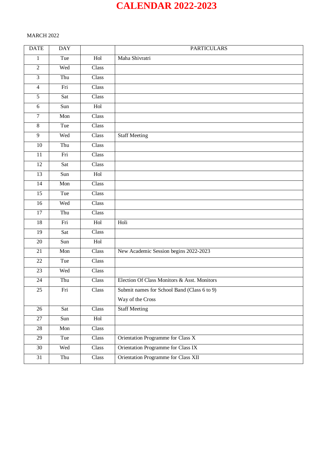# **CALENDAR 2022-2023**

# MARCH 2022

| <b>DATE</b>     | <b>DAY</b> |       | <b>PARTICULARS</b>                          |
|-----------------|------------|-------|---------------------------------------------|
| $\mathbf{1}$    | Tue        | Hol   | Maha Shivratri                              |
| $\overline{2}$  | Wed        | Class |                                             |
| $\overline{3}$  | Thu        | Class |                                             |
| $\overline{4}$  | Fri        | Class |                                             |
| $\overline{5}$  | Sat        | Class |                                             |
| 6               | Sun        | Hol   |                                             |
| $\tau$          | Mon        | Class |                                             |
| $8\,$           | Tue        | Class |                                             |
| $\overline{9}$  | Wed        | Class | <b>Staff Meeting</b>                        |
| 10              | Thu        | Class |                                             |
| 11              | Fri        | Class |                                             |
| 12              | Sat        | Class |                                             |
| 13              | Sun        | Hol   |                                             |
| 14              | Mon        | Class |                                             |
| $\overline{15}$ | Tue        | Class |                                             |
| 16              | Wed        | Class |                                             |
| $\overline{17}$ | Thu        | Class |                                             |
| 18              | Fri        | Hol   | Holi                                        |
| 19              | Sat        | Class |                                             |
| $20\,$          | Sun        | Hol   |                                             |
| 21              | Mon        | Class | New Academic Session begins 2022-2023       |
| 22              | Tue        | Class |                                             |
| 23              | Wed        | Class |                                             |
| 24              | Thu        | Class | Election Of Class Monitors & Asst. Monitors |
| 25              | Fri        | Class | Submit names for School Band (Class 6 to 9) |
|                 |            |       | Way of the Cross                            |
| 26              | Sat        | Class | <b>Staff Meeting</b>                        |
| 27              | Sun        | Hol   |                                             |
| 28              | Mon        | Class |                                             |
| 29              | Tue        | Class | Orientation Programme for Class X           |
| 30              | Wed        | Class | Orientation Programme for Class IX          |
| 31              | Thu        | Class | Orientation Programme for Class XII         |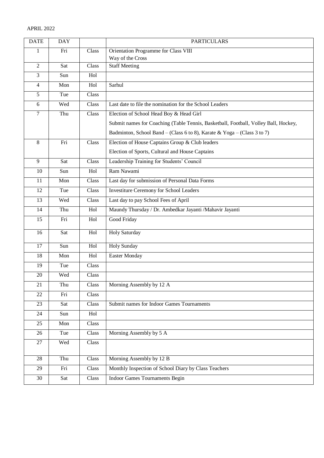| <b>DATE</b>    | <b>DAY</b> |                      | <b>PARTICULARS</b>                                                                  |
|----------------|------------|----------------------|-------------------------------------------------------------------------------------|
| 1              | Fri        | Class                | Orientation Programme for Class VIII                                                |
|                |            |                      | Way of the Cross                                                                    |
| $\overline{2}$ | Sat        | Class                | <b>Staff Meeting</b>                                                                |
| $\overline{3}$ | Sun        | Hol                  |                                                                                     |
| $\overline{4}$ | Mon        | Hol                  | Sarhul                                                                              |
| 5              | Tue        | Class                |                                                                                     |
| 6              | Wed        | Class                | Last date to file the nomination for the School Leaders                             |
| $\tau$         | Thu        | Class                | Election of School Head Boy & Head Girl                                             |
|                |            |                      | Submit names for Coaching (Table Tennis, Basketball, Football, Volley Ball, Hockey, |
|                |            |                      | Badminton, School Band – (Class 6 to 8), Karate & Yoga – (Class 3 to 7)             |
| 8              | Fri        | Class                | Election of House Captains Group & Club leaders                                     |
|                |            |                      | Election of Sports, Cultural and House Captains                                     |
| 9              | Sat        | Class                | Leadership Training for Students' Council                                           |
| 10             | Sun        | Hol                  | Ram Nawami                                                                          |
| 11             | Mon        | Class                | Last day for submission of Personal Data Forms                                      |
| 12             | Tue        | Class                | <b>Investiture Ceremony for School Leaders</b>                                      |
| 13             | Wed        | Class                | Last day to pay School Fees of April                                                |
| 14             | Thu        | Hol                  | Maundy Thursday / Dr. Ambedkar Jayanti / Mahavir Jayanti                            |
| 15             | Fri        | Hol                  | Good Friday                                                                         |
| 16             | Sat        | Hol                  | <b>Holy Saturday</b>                                                                |
| 17             | Sun        | Hol                  | <b>Holy Sunday</b>                                                                  |
| 18             | Mon        | Hol                  | <b>Easter Monday</b>                                                                |
| 19             | Tue        | Class                |                                                                                     |
| 20             | Wed        | Class                |                                                                                     |
| 21             | Thu        | Class                | Morning Assembly by 12 A                                                            |
| 22             | Fri        | Class                |                                                                                     |
| 23             | Sat        | Class                | Submit names for Indoor Games Tournaments                                           |
| 24             | Sun        | $\operatorname{Hol}$ |                                                                                     |
| 25             | Mon        | Class                |                                                                                     |
| 26             | Tue        | Class                | Morning Assembly by 5 A                                                             |
| 27             | Wed        | Class                |                                                                                     |
|                |            |                      |                                                                                     |
| 28             | Thu        | Class                | Morning Assembly by 12 B                                                            |
| 29             | Fri        | Class                | Monthly Inspection of School Diary by Class Teachers                                |
| 30             | Sat        | Class                | <b>Indoor Games Tournaments Begin</b>                                               |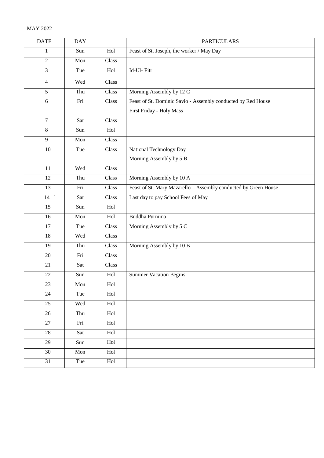| <b>DATE</b>     | <b>DAY</b> |       | <b>PARTICULARS</b>                                              |
|-----------------|------------|-------|-----------------------------------------------------------------|
| $\mathbf{1}$    | Sun        | Hol   | Feast of St. Joseph, the worker / May Day                       |
| $\overline{c}$  | Mon        | Class |                                                                 |
| 3               | Tue        | Hol   | Id-Ul-Fitr                                                      |
| $\overline{4}$  | Wed        | Class |                                                                 |
| $\overline{5}$  | Thu        | Class | Morning Assembly by 12 C                                        |
| 6               | Fri        | Class | Feast of St. Dominic Savio - Assembly conducted by Red House    |
|                 |            |       | First Friday - Holy Mass                                        |
| $\overline{7}$  | Sat        | Class |                                                                 |
| $\overline{8}$  | Sun        | Hol   |                                                                 |
| 9               | Mon        | Class |                                                                 |
| 10              | Tue        | Class | National Technology Day                                         |
|                 |            |       | Morning Assembly by 5 B                                         |
| 11              | Wed        | Class |                                                                 |
| 12              | Thu        | Class | Morning Assembly by 10 A                                        |
| $\overline{13}$ | Fri        | Class | Feast of St. Mary Mazarello - Assembly conducted by Green House |
| 14              | Sat        | Class | Last day to pay School Fees of May                              |
| 15              | Sun        | Hol   |                                                                 |
| $\overline{16}$ | Mon        | Hol   | Buddha Purnima                                                  |
| $\overline{17}$ | Tue        | Class | Morning Assembly by 5 C                                         |
| 18              | Wed        | Class |                                                                 |
| 19              | Thu        | Class | Morning Assembly by 10 B                                        |
| 20              | Fri        | Class |                                                                 |
| 21              | Sat        | Class |                                                                 |
| 22              | Sun        | Hol   | <b>Summer Vacation Begins</b>                                   |
| 23              | Mon        | Hol   |                                                                 |
| 24              | Tue        | Hol   |                                                                 |
| 25              | Wed        | Hol   |                                                                 |
| 26              | Thu        | Hol   |                                                                 |
| 27              | Fri        | Hol   |                                                                 |
| $28\,$          | Sat        | Hol   |                                                                 |
| 29              | Sun        | Hol   |                                                                 |
| 30              | Mon        | Hol   |                                                                 |
| 31              | Tue        | Hol   |                                                                 |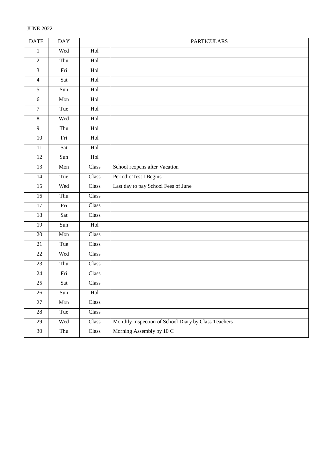| <b>DATE</b>     | <b>DAY</b>                |             | <b>PARTICULARS</b>                                   |
|-----------------|---------------------------|-------------|------------------------------------------------------|
| $\mathbf{1}$    | Wed                       | Hol         |                                                      |
| $\overline{2}$  | Thu                       | Hol         |                                                      |
| $\overline{3}$  | Fri                       | Hol         |                                                      |
| $\overline{4}$  | Sat                       | Hol         |                                                      |
| $\overline{5}$  | Sun                       | Hol         |                                                      |
| $\sqrt{6}$      | Mon                       | Hol         |                                                      |
| $\overline{7}$  | Tue                       | Hol         |                                                      |
| $\overline{8}$  | Wed                       | Hol         |                                                      |
| $\overline{9}$  | Thu                       | Hol         |                                                      |
| $\overline{10}$ | Fri                       | Hol         |                                                      |
| $\overline{11}$ | Sat                       | Hol         |                                                      |
| $\overline{12}$ | Sun                       | Hol         |                                                      |
| 13              | Mon                       | Class       | School reopens after Vacation                        |
| $\overline{14}$ | Tue                       | Class       | Periodic Test I Begins                               |
| $\overline{15}$ | Wed                       | Class       | Last day to pay School Fees of June                  |
| $\overline{16}$ | Thu                       | Class       |                                                      |
| 17              | Fri                       | Class       |                                                      |
| 18              | Sat                       | Class       |                                                      |
| 19              | Sun                       | Hol         |                                                      |
| $20\,$          | $\overline{\mathrm{Mon}}$ | Class       |                                                      |
| 21              | Tue                       | Class       |                                                      |
| 22              | Wed                       | Class       |                                                      |
| 23              | Thu                       | Class       |                                                      |
| 24              | Fri                       | Class       |                                                      |
| $25\,$          | Sat                       | Class       |                                                      |
| $26\,$          | Sun                       | Hol         |                                                      |
| $27\,$          | Mon                       | Class       |                                                      |
| $28\,$          | Tue                       | $\rm Class$ |                                                      |
| $29\,$          | Wed                       | Class       | Monthly Inspection of School Diary by Class Teachers |
| $30\,$          | Thu                       | Class       | Morning Assembly by 10 C                             |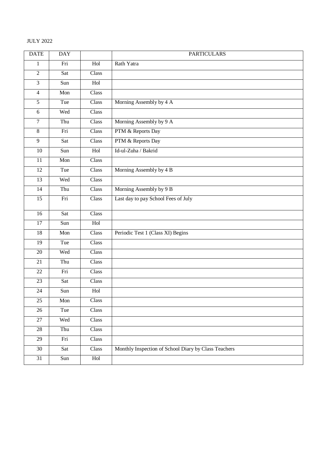## JULY 2022

| <b>DATE</b>    | <b>DAY</b> |       | <b>PARTICULARS</b>                                   |
|----------------|------------|-------|------------------------------------------------------|
| $\mathbf{1}$   | Fri        | Hol   | Rath Yatra                                           |
| $\overline{2}$ | Sat        | Class |                                                      |
| $\overline{3}$ | Sun        | Hol   |                                                      |
| $\overline{4}$ | Mon        | Class |                                                      |
| $\overline{5}$ | Tue        | Class | Morning Assembly by 4 A                              |
| 6              | Wed        | Class |                                                      |
| $\overline{7}$ | Thu        | Class | Morning Assembly by 9 A                              |
| $\overline{8}$ | Fri        | Class | PTM & Reports Day                                    |
| $\overline{9}$ | Sat        | Class | PTM & Reports Day                                    |
| 10             | Sun        | Hol   | Id-ul-Zuha / Bakrid                                  |
| 11             | Mon        | Class |                                                      |
| 12             | Tue        | Class | Morning Assembly by 4 B                              |
| 13             | Wed        | Class |                                                      |
| 14             | Thu        | Class | Morning Assembly by 9 B                              |
| 15             | Fri        | Class | Last day to pay School Fees of July                  |
| 16             | Sat        | Class |                                                      |
| 17             | Sun        | Hol   |                                                      |
| 18             | Mon        | Class | Periodic Test 1 (Class XI) Begins                    |
| 19             | Tue        | Class |                                                      |
| $20\,$         | Wed        | Class |                                                      |
| 21             | Thu        | Class |                                                      |
| 22             | Fri        | Class |                                                      |
| 23             | Sat        | Class |                                                      |
| 24             | Sun        | Hol   |                                                      |
| 25             | Mon        | Class |                                                      |
| 26             | Tue        | Class |                                                      |
| 27             | Wed        | Class |                                                      |
| 28             | Thu        | Class |                                                      |
| 29             | Fri        | Class |                                                      |
| 30             | Sat        | Class | Monthly Inspection of School Diary by Class Teachers |
| 31             | Sun        | Hol   |                                                      |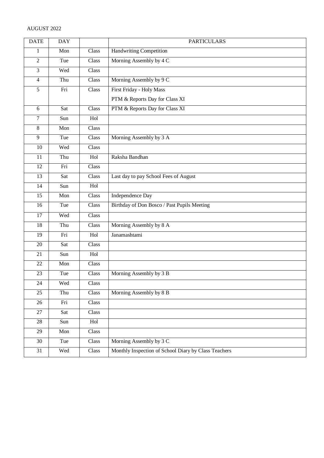# AUGUST 2022

| <b>DATE</b>     | <b>DAY</b> |       | <b>PARTICULARS</b>                                   |
|-----------------|------------|-------|------------------------------------------------------|
| $\mathbf{1}$    | Mon        | Class | Handwriting Competition                              |
| $\overline{2}$  | Tue        | Class | Morning Assembly by 4 C                              |
| $\overline{3}$  | Wed        | Class |                                                      |
| $\overline{4}$  | Thu        | Class | Morning Assembly by 9 C                              |
| $5\overline{)}$ | Fri        | Class | First Friday - Holy Mass                             |
|                 |            |       | PTM & Reports Day for Class XI                       |
| 6               | Sat        | Class | PTM & Reports Day for Class XI                       |
| $\overline{7}$  | Sun        | Hol   |                                                      |
| $\overline{8}$  | Mon        | Class |                                                      |
| 9               | Tue        | Class | Morning Assembly by 3 A                              |
| 10              | Wed        | Class |                                                      |
| 11              | Thu        | Hol   | Raksha Bandhan                                       |
| 12              | Fri        | Class |                                                      |
| 13              | Sat        | Class | Last day to pay School Fees of August                |
| 14              | Sun        | Hol   |                                                      |
| 15              | Mon        | Class | Independence Day                                     |
| 16              | Tue        | Class | Birthday of Don Bosco / Past Pupils Meeting          |
| 17              | Wed        | Class |                                                      |
| 18              | Thu        | Class | Morning Assembly by 8 A                              |
| 19              | Fri        | Hol   | Janamashtami                                         |
| 20              | Sat        | Class |                                                      |
| 21              | Sun        | Hol   |                                                      |
| 22              | Mon        | Class |                                                      |
| 23              | Tue        | Class | Morning Assembly by 3 B                              |
| 24              | Wed        | Class |                                                      |
| 25              | Thu        | Class | Morning Assembly by 8 B                              |
| 26              | Fri        | Class |                                                      |
| 27              | Sat        | Class |                                                      |
| 28              | Sun        | Hol   |                                                      |
| 29              | Mon        | Class |                                                      |
| 30              | Tue        | Class | Morning Assembly by 3 C                              |
| 31              | Wed        | Class | Monthly Inspection of School Diary by Class Teachers |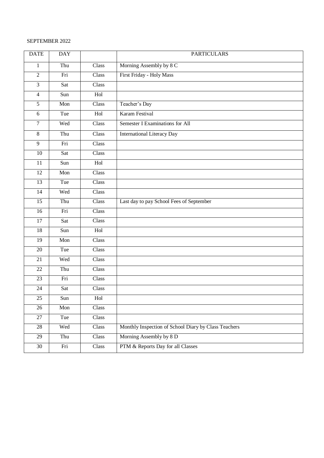## SEPTEMBER 2022

| <b>DATE</b>    | <b>DAY</b> |       | <b>PARTICULARS</b>                                   |
|----------------|------------|-------|------------------------------------------------------|
| $\mathbf{1}$   | Thu        | Class | Morning Assembly by 8 C                              |
| $\overline{2}$ | Fri        | Class | First Friday - Holy Mass                             |
| $\overline{3}$ | Sat        | Class |                                                      |
| $\overline{4}$ | Sun        | Hol   |                                                      |
| $\overline{5}$ | Mon        | Class | Teacher's Day                                        |
| 6              | Tue        | Hol   | Karam Festival                                       |
| $\overline{7}$ | Wed        | Class | Semester I Examinations for All                      |
| $\overline{8}$ | Thu        | Class | <b>International Literacy Day</b>                    |
| $\overline{9}$ | Fri        | Class |                                                      |
| 10             | Sat        | Class |                                                      |
| 11             | Sun        | Hol   |                                                      |
| 12             | Mon        | Class |                                                      |
| 13             | Tue        | Class |                                                      |
| 14             | Wed        | Class |                                                      |
| 15             | Thu        | Class | Last day to pay School Fees of September             |
| 16             | Fri        | Class |                                                      |
| 17             | Sat        | Class |                                                      |
| 18             | Sun        | Hol   |                                                      |
| 19             | Mon        | Class |                                                      |
| $20\,$         | Tue        | Class |                                                      |
| 21             | Wed        | Class |                                                      |
| 22             | Thu        | Class |                                                      |
| 23             | Fri        | Class |                                                      |
| 24             | Sat        | Class |                                                      |
| 25             | Sun        | Hol   |                                                      |
| 26             | Mon        | Class |                                                      |
| 27             | Tue        | Class |                                                      |
| 28             | Wed        | Class | Monthly Inspection of School Diary by Class Teachers |
| 29             | Thu        | Class | Morning Assembly by 8 D                              |
| $30\,$         | Fri        | Class | PTM & Reports Day for all Classes                    |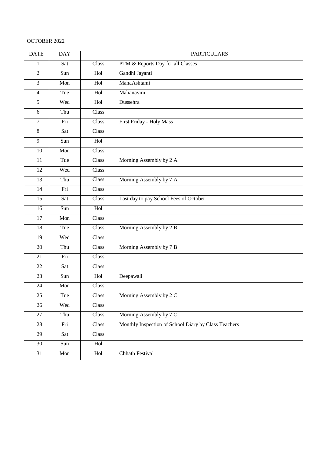# OCTOBER 2022

| <b>DATE</b>     | <b>DAY</b> |                           | <b>PARTICULARS</b>                                   |
|-----------------|------------|---------------------------|------------------------------------------------------|
| $\mathbf{1}$    | Sat        | Class                     | PTM & Reports Day for all Classes                    |
| $\overline{2}$  | Sun        | Hol                       | Gandhi Jayanti                                       |
| 3               | Mon        | Hol                       | MahaAshtami                                          |
| $\overline{4}$  | Tue        | Hol                       | Mahanavmi                                            |
| $\overline{5}$  | Wed        | Hol                       | Dussehra                                             |
| 6               | Thu        | Class                     |                                                      |
| $\overline{7}$  | Fri        | Class                     | First Friday - Holy Mass                             |
| 8               | Sat        | Class                     |                                                      |
| 9               | Sun        | Hol                       |                                                      |
| 10              | Mon        | Class                     |                                                      |
| 11              | Tue        | Class                     | Morning Assembly by 2 A                              |
| 12              | Wed        | Class                     |                                                      |
| 13              | Thu        | Class                     | Morning Assembly by 7 A                              |
| 14              | Fri        | Class                     |                                                      |
| 15              | Sat        | Class                     | Last day to pay School Fees of October               |
| 16              | Sun        | Hol                       |                                                      |
| 17              | Mon        | Class                     |                                                      |
| 18              | Tue        | Class                     | Morning Assembly by 2 B                              |
| 19              | Wed        | Class                     |                                                      |
| 20              | Thu        | Class                     | Morning Assembly by 7 B                              |
| 21              | Fri        | Class                     |                                                      |
| 22              | Sat        | Class                     |                                                      |
| 23              | Sun        | Hol                       | Deepawali                                            |
| 24              | Mon        | Class                     |                                                      |
| $\overline{25}$ | Tue        | $\overline{\text{Class}}$ | Morning Assembly by 2 C                              |
| 26              | Wed        | Class                     |                                                      |
| 27              | Thu        | Class                     | Morning Assembly by 7 C                              |
| 28              | Fri        | Class                     | Monthly Inspection of School Diary by Class Teachers |
| 29              | Sat        | Class                     |                                                      |
| 30              | Sun        | Hol                       |                                                      |
| 31              | Mon        | Hol                       | Chhath Festival                                      |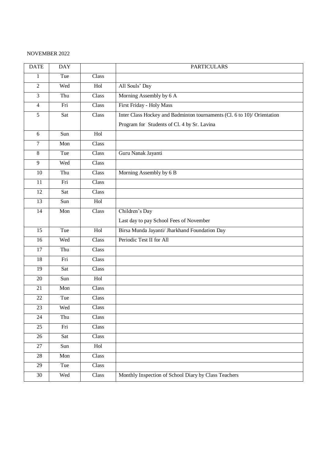#### NOVEMBER 2022

| <b>DATE</b>    | <b>DAY</b> |       | <b>PARTICULARS</b>                                                      |
|----------------|------------|-------|-------------------------------------------------------------------------|
| $\mathbf{1}$   | Tue        | Class |                                                                         |
| $\overline{2}$ | Wed        | Hol   | All Souls' Day                                                          |
| 3              | Thu        | Class | Morning Assembly by 6 A                                                 |
| $\overline{4}$ | Fri        | Class | First Friday - Holy Mass                                                |
| $\overline{5}$ | Sat        | Class | Inter Class Hockey and Badminton tournaments (Cl. 6 to 10)/ Orientation |
|                |            |       | Program for Students of Cl. 4 by Sr. Lavina                             |
| 6              | Sun        | Hol   |                                                                         |
| 7              | Mon        | Class |                                                                         |
| $8\,$          | Tue        | Class | Guru Nanak Jayanti                                                      |
| 9              | Wed        | Class |                                                                         |
| 10             | Thu        | Class | Morning Assembly by 6 B                                                 |
| 11             | Fri        | Class |                                                                         |
| 12             | Sat        | Class |                                                                         |
| 13             | Sun        | Hol   |                                                                         |
| 14             | Mon        | Class | Children's Day                                                          |
|                |            |       | Last day to pay School Fees of November                                 |
| 15             | Tue        | Hol   | Birsa Munda Jayanti/ Jharkhand Foundation Day                           |
| 16             | Wed        | Class | Periodic Test II for All                                                |
| 17             | Thu        | Class |                                                                         |
| 18             | Fri        | Class |                                                                         |
| 19             | Sat        | Class |                                                                         |
| 20             | Sun        | Hol   |                                                                         |
| 21             | Mon        | Class |                                                                         |
| 22             | Tue        | Class |                                                                         |
| 23             | Wed        | Class |                                                                         |
| 24             | Thu        | Class |                                                                         |
| 25             | Fri        | Class |                                                                         |
| 26             | Sat        | Class |                                                                         |
| 27             | Sun        | Hol   |                                                                         |
| 28             | Mon        | Class |                                                                         |
| 29             | Tue        | Class |                                                                         |
| $30\,$         | Wed        | Class | Monthly Inspection of School Diary by Class Teachers                    |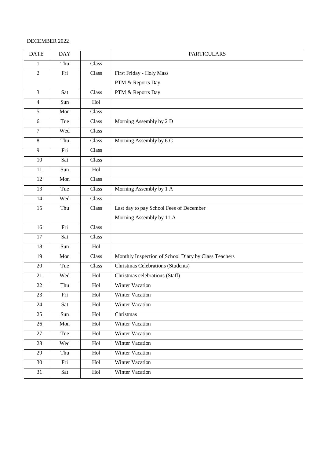## DECEMBER 2022

| <b>DATE</b>    | <b>DAY</b> |       | <b>PARTICULARS</b>                                   |
|----------------|------------|-------|------------------------------------------------------|
| 1              | Thu        | Class |                                                      |
| $\overline{2}$ | Fri        | Class | First Friday - Holy Mass                             |
|                |            |       | PTM & Reports Day                                    |
| $\overline{3}$ | Sat        | Class | PTM & Reports Day                                    |
| $\overline{4}$ | Sun        | Hol   |                                                      |
| 5              | Mon        | Class |                                                      |
| 6              | Tue        | Class | Morning Assembly by 2 D                              |
| $\tau$         | Wed        | Class |                                                      |
| $8\,$          | Thu        | Class | Morning Assembly by 6 C                              |
| 9              | Fri        | Class |                                                      |
| 10             | Sat        | Class |                                                      |
| 11             | Sun        | Hol   |                                                      |
| 12             | Mon        | Class |                                                      |
| 13             | Tue        | Class | Morning Assembly by 1 A                              |
| 14             | Wed        | Class |                                                      |
| 15             | Thu        | Class | Last day to pay School Fees of December              |
|                |            |       | Morning Assembly by 11 A                             |
| 16             | Fri        | Class |                                                      |
| 17             | Sat        | Class |                                                      |
| 18             | Sun        | Hol   |                                                      |
| 19             | Mon        | Class | Monthly Inspection of School Diary by Class Teachers |
| 20             | Tue        | Class | Christmas Celebrations (Students)                    |
| 21             | Wed        | Hol   | Christmas celebrations (Staff)                       |
| 22             | Thu        | Hol   | <b>Winter Vacation</b>                               |
| 23             | Fri        | Hol   | Winter Vacation                                      |
| 24             | Sat        | Hol   | <b>Winter Vacation</b>                               |
| 25             | Sun        | Hol   | Christmas                                            |
| 26             | Mon        | Hol   | Winter Vacation                                      |
| 27             | Tue        | Hol   | <b>Winter Vacation</b>                               |
| 28             | Wed        | Hol   | <b>Winter Vacation</b>                               |
| 29             | Thu        | Hol   | <b>Winter Vacation</b>                               |
| 30             | Fri        | Hol   | <b>Winter Vacation</b>                               |
| 31             | Sat        | Hol   | Winter Vacation                                      |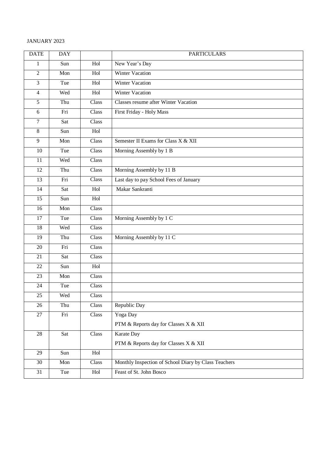# JANUARY 2023

| <b>DATE</b>    | <b>DAY</b> |       | <b>PARTICULARS</b>                                   |
|----------------|------------|-------|------------------------------------------------------|
| 1              | Sun        | Hol   | New Year's Day                                       |
| $\overline{2}$ | Mon        | Hol   | Winter Vacation                                      |
| $\overline{3}$ | Tue        | Hol   | <b>Winter Vacation</b>                               |
| $\overline{4}$ | Wed        | Hol   | Winter Vacation                                      |
| $\overline{5}$ | Thu        | Class | <b>Classes resume after Winter Vacation</b>          |
| 6              | Fri        | Class | First Friday - Holy Mass                             |
| $\overline{7}$ | Sat        | Class |                                                      |
| $\overline{8}$ | Sun        | Hol   |                                                      |
| $\overline{9}$ | Mon        | Class | Semester II Exams for Class X & XII                  |
| 10             | Tue        | Class | Morning Assembly by 1 B                              |
| 11             | Wed        | Class |                                                      |
| 12             | Thu        | Class | Morning Assembly by 11 B                             |
| 13             | Fri        | Class | Last day to pay School Fees of January               |
| 14             | Sat        | Hol   | Makar Sankranti                                      |
| 15             | Sun        | Hol   |                                                      |
| 16             | Mon        | Class |                                                      |
| 17             | Tue        | Class | Morning Assembly by 1 C                              |
| 18             | Wed        | Class |                                                      |
| 19             | Thu        | Class | Morning Assembly by 11 C                             |
| 20             | Fri        | Class |                                                      |
| 21             | Sat        | Class |                                                      |
| 22             | Sun        | Hol   |                                                      |
| 23             | Mon        | Class |                                                      |
| 24             | Tue        | Class |                                                      |
| 25             | Wed        | Class |                                                      |
| 26             | Thu        | Class | Republic Day                                         |
| 27             | Fri        | Class | Yoga Day                                             |
|                |            |       | PTM & Reports day for Classes X & XII                |
| $28\,$         | Sat        | Class | Karate Day                                           |
|                |            |       | PTM & Reports day for Classes X & XII                |
| 29             | Sun        | Hol   |                                                      |
| 30             | Mon        | Class | Monthly Inspection of School Diary by Class Teachers |
| 31             | Tue        | Hol   | Feast of St. John Bosco                              |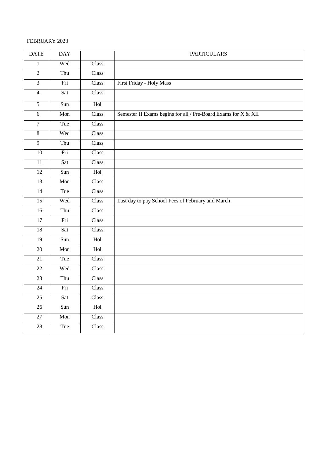## FEBRUARY 2023

| <b>DATE</b>     | <b>DAY</b> |       | <b>PARTICULARS</b>                                             |
|-----------------|------------|-------|----------------------------------------------------------------|
| $\mathbf{1}$    | Wed        | Class |                                                                |
| $\overline{2}$  | Thu        | Class |                                                                |
| $\overline{3}$  | Fri        | Class | First Friday - Holy Mass                                       |
| $\overline{4}$  | Sat        | Class |                                                                |
| $\overline{5}$  | Sun        | Hol   |                                                                |
| $6\,$           | Mon        | Class | Semester II Exams begins for all / Pre-Board Exams for X & XII |
| $\overline{7}$  | Tue        | Class |                                                                |
| $\sqrt{8}$      | Wed        | Class |                                                                |
| $\overline{9}$  | Thu        | Class |                                                                |
| $10\,$          | Fri        | Class |                                                                |
| $\overline{11}$ | Sat        | Class |                                                                |
| 12              | Sun        | Hol   |                                                                |
| $\overline{13}$ | Mon        | Class |                                                                |
| $\overline{14}$ | Tue        | Class |                                                                |
| $\overline{15}$ | Wed        | Class | Last day to pay School Fees of February and March              |
| $\overline{16}$ | Thu        | Class |                                                                |
| $\overline{17}$ | Fri        | Class |                                                                |
| $\overline{18}$ | Sat        | Class |                                                                |
| 19              | Sun        | Hol   |                                                                |
| 20              | Mon        | Hol   |                                                                |
| 21              | Tue        | Class |                                                                |
| 22              | Wed        | Class |                                                                |
| $\overline{23}$ | Thu        | Class |                                                                |
| $\overline{24}$ | Fri        | Class |                                                                |
| 25              | Sat        | Class |                                                                |
| $\overline{26}$ | Sun        | Hol   |                                                                |
| $\overline{27}$ | Mon        | Class |                                                                |
| $28\,$          | Tue        | Class |                                                                |